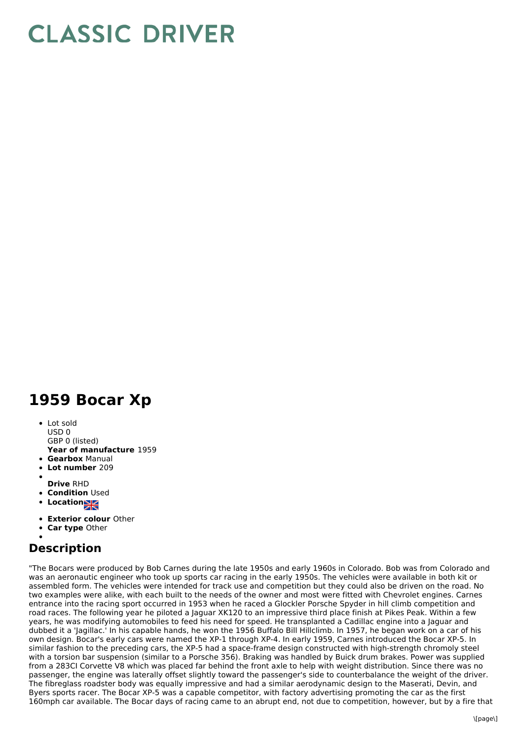## **CLASSIC DRIVER**

## **1959 Bocar Xp**

- Lot sold USD 0
- GBP 0 (listed)
- **Year of manufacture** 1959 **Gearbox** Manual
- **Lot number** 209
- 
- **Drive** RHD
- **Condition Used**
- **Location**
- **Exterior colour** Other
- **Car type** Other

## **Description**

"The Bocars were produced by Bob Carnes during the late 1950s and early 1960s in Colorado. Bob was from Colorado and was an aeronautic engineer who took up sports car racing in the early 1950s. The vehicles were available in both kit or assembled form. The vehicles were intended for track use and competition but they could also be driven on the road. No two examples were alike, with each built to the needs of the owner and most were fitted with Chevrolet engines. Carnes entrance into the racing sport occurred in 1953 when he raced a Glockler Porsche Spyder in hill climb competition and road races. The following year he piloted a Jaguar XK120 to an impressive third place finish at Pikes Peak. Within a few years, he was modifying automobiles to feed his need for speed. He transplanted a Cadillac engine into a Jaguar and dubbed it a 'Jagillac.' In his capable hands, he won the 1956 Buffalo Bill Hillclimb. In 1957, he began work on a car of his own design. Bocar's early cars were named the XP-1 through XP-4. In early 1959, Carnes introduced the Bocar XP-5. In similar fashion to the preceding cars, the XP-5 had a space-frame design constructed with high-strength chromoly steel with a torsion bar suspension (similar to a Porsche 356). Braking was handled by Buick drum brakes. Power was supplied from a 283CI Corvette V8 which was placed far behind the front axle to help with weight distribution. Since there was no passenger, the engine was laterally offset slightly toward the passenger's side to counterbalance the weight of the driver. The fibreglass roadster body was equally impressive and had a similar aerodynamic design to the Maserati, Devin, and Byers sports racer. The Bocar XP-5 was a capable competitor, with factory advertising promoting the car as the first 160mph car available. The Bocar days of racing came to an abrupt end, not due to competition, however, but by a fire that